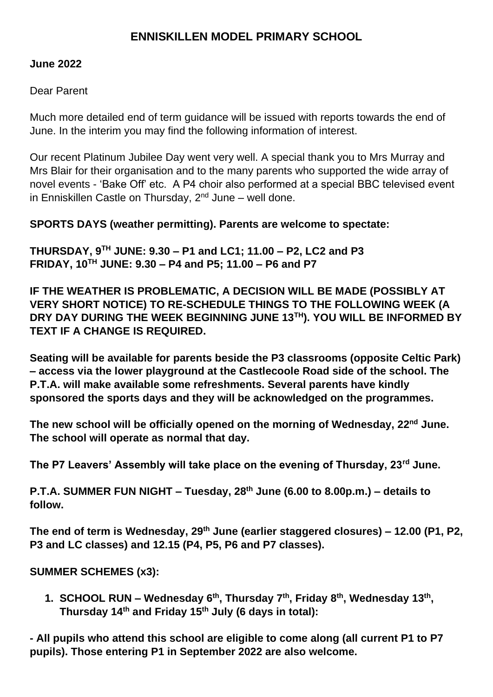# **ENNISKILLEN MODEL PRIMARY SCHOOL**

### **June 2022**

### Dear Parent

Much more detailed end of term guidance will be issued with reports towards the end of June. In the interim you may find the following information of interest.

Our recent Platinum Jubilee Day went very well. A special thank you to Mrs Murray and Mrs Blair for their organisation and to the many parents who supported the wide array of novel events - 'Bake Off' etc. A P4 choir also performed at a special BBC televised event in Enniskillen Castle on Thursday,  $2<sup>nd</sup>$  June – well done.

## **SPORTS DAYS (weather permitting). Parents are welcome to spectate:**

**THURSDAY, 9TH JUNE: 9.30 – P1 and LC1; 11.00 – P2, LC2 and P3 FRIDAY, 10TH JUNE: 9.30 – P4 and P5; 11.00 – P6 and P7**

**IF THE WEATHER IS PROBLEMATIC, A DECISION WILL BE MADE (POSSIBLY AT VERY SHORT NOTICE) TO RE-SCHEDULE THINGS TO THE FOLLOWING WEEK (A DRY DAY DURING THE WEEK BEGINNING JUNE 13TH). YOU WILL BE INFORMED BY TEXT IF A CHANGE IS REQUIRED.** 

**Seating will be available for parents beside the P3 classrooms (opposite Celtic Park) – access via the lower playground at the Castlecoole Road side of the school. The P.T.A. will make available some refreshments. Several parents have kindly sponsored the sports days and they will be acknowledged on the programmes.** 

**The new school will be officially opened on the morning of Wednesday, 22nd June. The school will operate as normal that day.** 

**The P7 Leavers' Assembly will take place on the evening of Thursday, 23rd June.** 

**P.T.A. SUMMER FUN NIGHT – Tuesday, 28th June (6.00 to 8.00p.m.) – details to follow.** 

**The end of term is Wednesday, 29th June (earlier staggered closures) – 12.00 (P1, P2, P3 and LC classes) and 12.15 (P4, P5, P6 and P7 classes).** 

**SUMMER SCHEMES (x3):**

**1. SCHOOL RUN – Wednesday 6th, Thursday 7th, Friday 8th, Wednesday 13th , Thursday 14th and Friday 15th July (6 days in total):** 

**- All pupils who attend this school are eligible to come along (all current P1 to P7 pupils). Those entering P1 in September 2022 are also welcome.**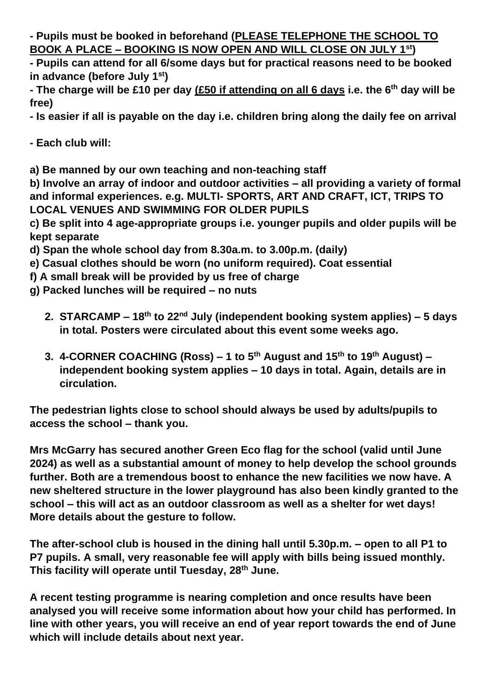**- Pupils must be booked in beforehand (PLEASE TELEPHONE THE SCHOOL TO BOOK A PLACE – BOOKING IS NOW OPEN AND WILL CLOSE ON JULY 1st)** 

**- Pupils can attend for all 6/some days but for practical reasons need to be booked in advance (before July 1st)**

**- The charge will be £10 per day (£50 if attending on all 6 days i.e. the 6th day will be free)** 

**- Is easier if all is payable on the day i.e. children bring along the daily fee on arrival**

**- Each club will:** 

**a) Be manned by our own teaching and non-teaching staff** 

**b) Involve an array of indoor and outdoor activities – all providing a variety of formal and informal experiences. e.g. MULTI- SPORTS, ART AND CRAFT, ICT, TRIPS TO LOCAL VENUES AND SWIMMING FOR OLDER PUPILS**

**c) Be split into 4 age-appropriate groups i.e. younger pupils and older pupils will be kept separate**

**d) Span the whole school day from 8.30a.m. to 3.00p.m. (daily)**

- **e) Casual clothes should be worn (no uniform required). Coat essential**
- **f) A small break will be provided by us free of charge**
- **g) Packed lunches will be required – no nuts**
	- **2. STARCAMP – 18th to 22nd July (independent booking system applies) – 5 days in total. Posters were circulated about this event some weeks ago.**
	- **3. 4-CORNER COACHING (Ross) – 1 to 5th August and 15th to 19th August) – independent booking system applies – 10 days in total. Again, details are in circulation.**

**The pedestrian lights close to school should always be used by adults/pupils to access the school – thank you.** 

**Mrs McGarry has secured another Green Eco flag for the school (valid until June 2024) as well as a substantial amount of money to help develop the school grounds further. Both are a tremendous boost to enhance the new facilities we now have. A new sheltered structure in the lower playground has also been kindly granted to the school – this will act as an outdoor classroom as well as a shelter for wet days! More details about the gesture to follow.**

**The after-school club is housed in the dining hall until 5.30p.m. – open to all P1 to P7 pupils. A small, very reasonable fee will apply with bills being issued monthly. This facility will operate until Tuesday, 28th June.** 

**A recent testing programme is nearing completion and once results have been analysed you will receive some information about how your child has performed. In line with other years, you will receive an end of year report towards the end of June which will include details about next year.**